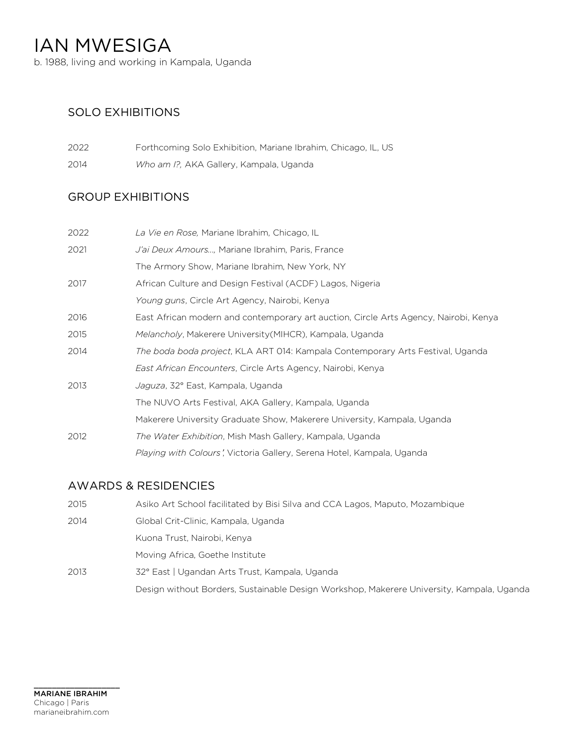b. 1988, living and working in Kampala, Uganda

## SOLO EXHIBITIONS

| 2022 | Forthcoming Solo Exhibition, Mariane Ibrahim, Chicago, IL, US |
|------|---------------------------------------------------------------|
| 2014 | Who am I?, AKA Gallery, Kampala, Uganda                       |

## GROUP EXHIBITIONS

| 2022 | La Vie en Rose, Mariane Ibrahim, Chicago, IL                                         |
|------|--------------------------------------------------------------------------------------|
| 2021 | J'ai Deux Amours, Mariane Ibrahim, Paris, France                                     |
|      | The Armory Show, Mariane Ibrahim, New York, NY                                       |
| 2017 | African Culture and Design Festival (ACDF) Lagos, Nigeria                            |
|      | Young guns, Circle Art Agency, Nairobi, Kenya                                        |
| 2016 | East African modern and contemporary art auction, Circle Arts Agency, Nairobi, Kenya |
| 2015 | Melancholy, Makerere University (MIHCR), Kampala, Uganda                             |
| 2014 | The boda boda project, KLA ART 014: Kampala Contemporary Arts Festival, Uganda       |
|      | <i>East African Encounters, Circle Arts Agency, Nairobi, Kenya</i>                   |
| 2013 | Jaguza, 32° East, Kampala, Uganda                                                    |
|      | The NUVO Arts Festival, AKA Gallery, Kampala, Uganda                                 |
|      | Makerere University Graduate Show, Makerere University, Kampala, Uganda              |
| 2012 | The Water Exhibition, Mish Mash Gallery, Kampala, Uganda                             |
|      | Playing with Colours', Victoria Gallery, Serena Hotel, Kampala, Uganda               |

## AWARDS & RESIDENCIES

| 2015 | Asiko Art School facilitated by Bisi Silva and CCA Lagos, Maputo, Mozambique              |
|------|-------------------------------------------------------------------------------------------|
| 2014 | Global Crit-Clinic, Kampala, Uganda                                                       |
|      | Kuona Trust, Nairobi, Kenya                                                               |
|      | Moving Africa, Goethe Institute                                                           |
| 2013 | 32° East   Ugandan Arts Trust, Kampala, Uganda                                            |
|      | Design without Borders, Sustainable Design Workshop, Makerere University, Kampala, Uganda |

 $\_$